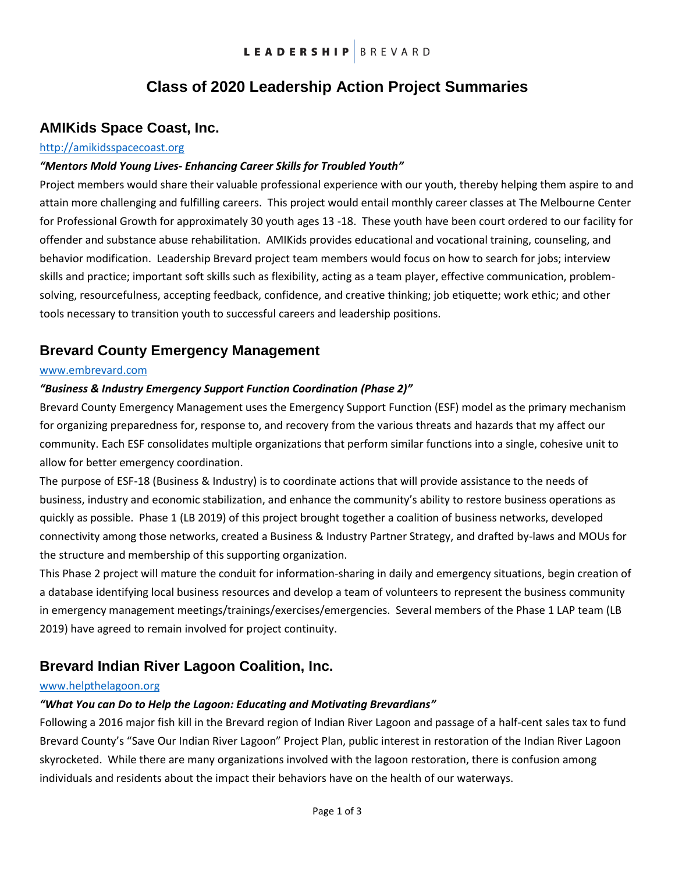# **Class of 2020 Leadership Action Project Summaries**

### **AMIKids Space Coast, Inc.**

#### [http://amikidsspacecoast.org](http://amikidsspacecoast.org/)

#### *"Mentors Mold Young Lives- Enhancing Career Skills for Troubled Youth"*

Project members would share their valuable professional experience with our youth, thereby helping them aspire to and attain more challenging and fulfilling careers. This project would entail monthly career classes at The Melbourne Center for Professional Growth for approximately 30 youth ages 13 -18. These youth have been court ordered to our facility for offender and substance abuse rehabilitation. AMIKids provides educational and vocational training, counseling, and behavior modification. Leadership Brevard project team members would focus on how to search for jobs; interview skills and practice; important soft skills such as flexibility, acting as a team player, effective communication, problemsolving, resourcefulness, accepting feedback, confidence, and creative thinking; job etiquette; work ethic; and other tools necessary to transition youth to successful careers and leadership positions.

## **Brevard County Emergency Management**

#### [www.embrevard.com](http://www.embrevard.com/)

#### *"Business & Industry Emergency Support Function Coordination (Phase 2)"*

Brevard County Emergency Management uses the Emergency Support Function (ESF) model as the primary mechanism for organizing preparedness for, response to, and recovery from the various threats and hazards that my affect our community. Each ESF consolidates multiple organizations that perform similar functions into a single, cohesive unit to allow for better emergency coordination.

The purpose of ESF-18 (Business & Industry) is to coordinate actions that will provide assistance to the needs of business, industry and economic stabilization, and enhance the community's ability to restore business operations as quickly as possible. Phase 1 (LB 2019) of this project brought together a coalition of business networks, developed connectivity among those networks, created a Business & Industry Partner Strategy, and drafted by-laws and MOUs for the structure and membership of this supporting organization.

This Phase 2 project will mature the conduit for information-sharing in daily and emergency situations, begin creation of a database identifying local business resources and develop a team of volunteers to represent the business community in emergency management meetings/trainings/exercises/emergencies. Several members of the Phase 1 LAP team (LB 2019) have agreed to remain involved for project continuity.

### **Brevard Indian River Lagoon Coalition, Inc.**

#### www.helpthelagoon.org

#### *"What You can Do to Help the Lagoon: Educating and Motivating Brevardians"*

Following a 2016 major fish kill in the Brevard region of Indian River Lagoon and passage of a half-cent sales tax to fund Brevard County's "Save Our Indian River Lagoon" Project Plan, public interest in restoration of the Indian River Lagoon skyrocketed. While there are many organizations involved with the lagoon restoration, there is confusion among individuals and residents about the impact their behaviors have on the health of our waterways.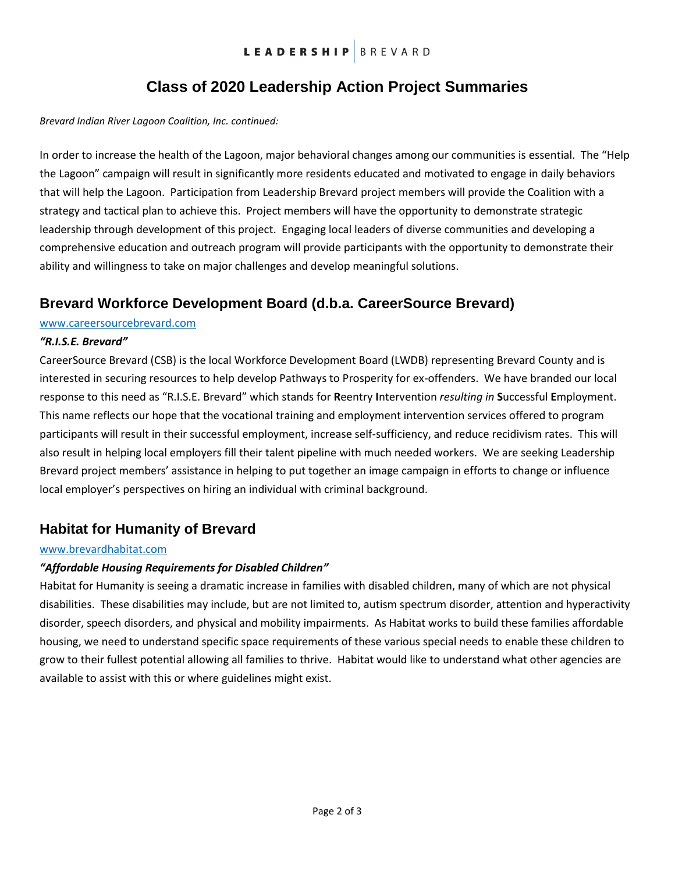# **Class of 2020 Leadership Action Project Summaries**

#### *Brevard Indian River Lagoon Coalition, Inc. continued:*

In order to increase the health of the Lagoon, major behavioral changes among our communities is essential. The "Help the Lagoon" campaign will result in significantly more residents educated and motivated to engage in daily behaviors that will help the Lagoon. Participation from Leadership Brevard project members will provide the Coalition with a strategy and tactical plan to achieve this. Project members will have the opportunity to demonstrate strategic leadership through development of this project. Engaging local leaders of diverse communities and developing a comprehensive education and outreach program will provide participants with the opportunity to demonstrate their ability and willingness to take on major challenges and develop meaningful solutions.

### **Brevard Workforce Development Board (d.b.a. CareerSource Brevard)**

#### www.careersourcebrevard.com

#### *"R.I.S.E. Brevard"*

CareerSource Brevard (CSB) is the local Workforce Development Board (LWDB) representing Brevard County and is interested in securing resources to help develop Pathways to Prosperity for ex-offenders. We have branded our local response to this need as "R.I.S.E. Brevard" which stands for **R**eentry **I**ntervention *resulting in* **S**uccessful **E**mployment. This name reflects our hope that the vocational training and employment intervention services offered to program participants will result in their successful employment, increase self-sufficiency, and reduce recidivism rates. This will also result in helping local employers fill their talent pipeline with much needed workers. We are seeking Leadership Brevard project members' assistance in helping to put together an image campaign in efforts to change or influence local employer's perspectives on hiring an individual with criminal background.

### **Habitat for Humanity of Brevard**

#### [www.brevardhabitat.com](http://www.brevardhabitat.com/)

#### *"Affordable Housing Requirements for Disabled Children"*

Habitat for Humanity is seeing a dramatic increase in families with disabled children, many of which are not physical disabilities. These disabilities may include, but are not limited to, autism spectrum disorder, attention and hyperactivity disorder, speech disorders, and physical and mobility impairments. As Habitat works to build these families affordable housing, we need to understand specific space requirements of these various special needs to enable these children to grow to their fullest potential allowing all families to thrive. Habitat would like to understand what other agencies are available to assist with this or where guidelines might exist.